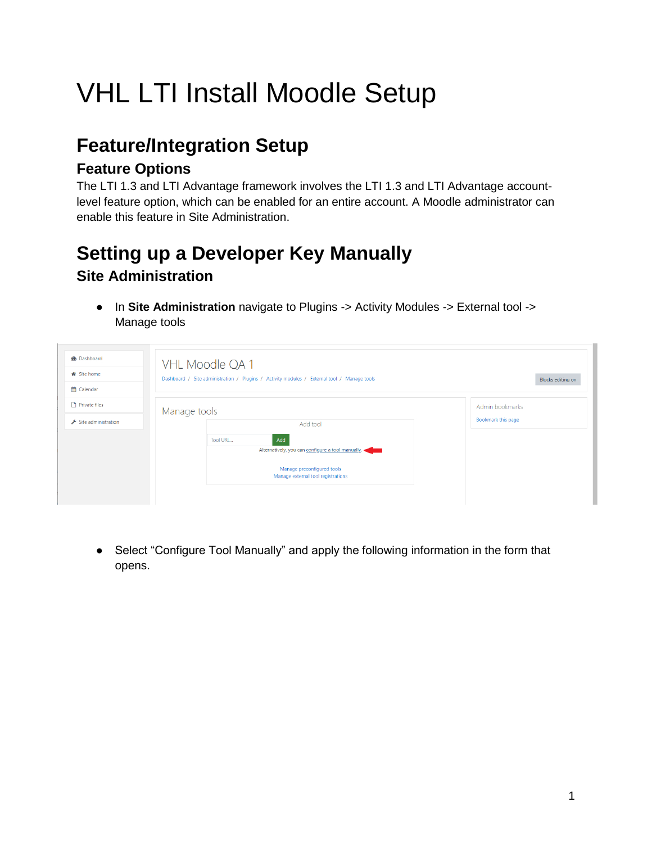# VHL LTI Install Moodle Setup

### **Feature/Integration Setup**

#### **Feature Options**

The LTI 1.3 and LTI Advantage framework involves the LTI 1.3 and LTI Advantage accountlevel feature option, which can be enabled for an entire account. A Moodle administrator can enable this feature in Site Administration.

### **Setting up a Developer Key Manually**

#### **Site Administration**

● In **Site Administration** navigate to Plugins -> Activity Modules -> External tool -> Manage tools

| VHL Moodle QA 1<br>Dashboard / Site administration / Plugins / Activity modules / External tool / Manage tools<br>Blocks editing on |                    |  |  |  |  |
|-------------------------------------------------------------------------------------------------------------------------------------|--------------------|--|--|--|--|
|                                                                                                                                     |                    |  |  |  |  |
|                                                                                                                                     | Admin bookmarks    |  |  |  |  |
| Add tool                                                                                                                            | Bookmark this page |  |  |  |  |
| Add<br>Tool URL<br>Alternatively, you can configure a tool manually.                                                                |                    |  |  |  |  |
| Manage preconfigured tools<br>Manage external tool registrations                                                                    |                    |  |  |  |  |
|                                                                                                                                     | Manage tools       |  |  |  |  |

● Select "Configure Tool Manually" and apply the following information in the form that opens.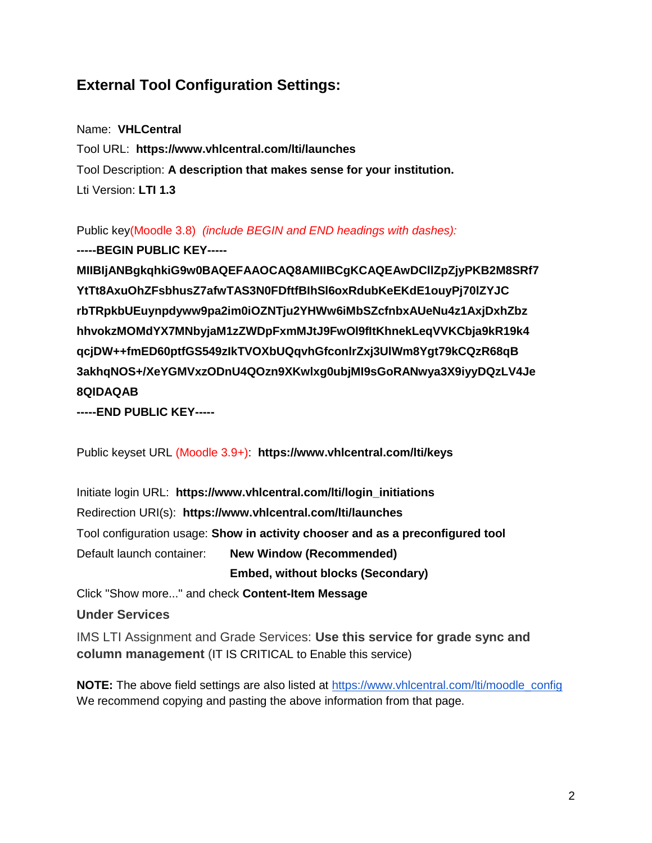#### **External Tool Configuration Settings:**

Name: **VHLCentral** Tool URL: **https://www.vhlcentral.com/lti/launches** Tool Description: **A description that makes sense for your institution.** Lti Version: **LTI 1.3**

Public key(Moodle 3.8) *(include BEGIN and END headings with dashes):*

**-----BEGIN PUBLIC KEY-----**

**MIIBIjANBgkqhkiG9w0BAQEFAAOCAQ8AMIIBCgKCAQEAwDCllZpZjyPKB2M8SRf7 YtTt8AxuOhZFsbhusZ7afwTAS3N0FDftfBIhSl6oxRdubKeEKdE1ouyPj70lZYJC rbTRpkbUEuynpdyww9pa2im0iOZNTju2YHWw6iMbSZcfnbxAUeNu4z1AxjDxhZbz hhvokzMOMdYX7MNbyjaM1zZWDpFxmMJtJ9FwOl9fItKhnekLeqVVKCbja9kR19k4 qcjDW++fmED60ptfGS549zIkTVOXbUQqvhGfconlrZxj3UlWm8Ygt79kCQzR68qB 3akhqNOS+/XeYGMVxzODnU4QOzn9XKwlxg0ubjMI9sGoRANwya3X9iyyDQzLV4Je 8QIDAQAB**

**-----END PUBLIC KEY-----**

Public keyset URL (Moodle 3.9+): **https://www.vhlcentral.com/lti/keys**

Initiate login URL: **https://www.vhlcentral.com/lti/login\_initiations** Redirection URI(s): **https://www.vhlcentral.com/lti/launches** Tool configuration usage: **Show in activity chooser and as a preconfigured tool** Default launch container: **New Window (Recommended) Embed, without blocks (Secondary)**

Click "Show more..." and check **Content-Item Message**

#### **Under Services**

IMS LTI Assignment and Grade Services: **Use this service for grade sync and column management** (IT IS CRITICAL to Enable this service)

**NOTE:** The above field settings are also listed at [https://www.vhlcentral.com/lti/moodle\\_config](https://www.vhlcentral.com/lti/moodle_config) We recommend copying and pasting the above information from that page.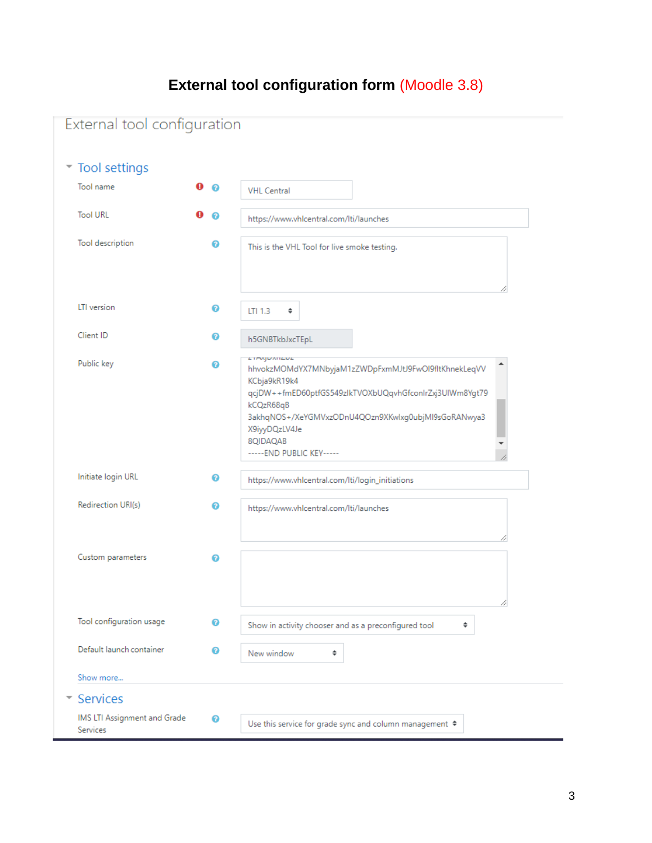### **External tool configuration form** (Moodle 3.8)

| External tool configuration              |        |                                                                                                                                                                                                                                                                                          |
|------------------------------------------|--------|------------------------------------------------------------------------------------------------------------------------------------------------------------------------------------------------------------------------------------------------------------------------------------------|
|                                          |        |                                                                                                                                                                                                                                                                                          |
| Tool settings                            |        |                                                                                                                                                                                                                                                                                          |
| Tool name                                | o<br>ଚ | <b>VHL Central</b>                                                                                                                                                                                                                                                                       |
| <b>Tool URL</b>                          | ଵ      | https://www.vhlcentral.com/lti/launches                                                                                                                                                                                                                                                  |
| Tool description                         | ❼      | This is the VHL Tool for live smoke testing.                                                                                                                                                                                                                                             |
| LTI version                              | ❼      | LTI 1.3<br>÷                                                                                                                                                                                                                                                                             |
| Client ID                                | ଵ      | h5GNBTkbJxcTEpL                                                                                                                                                                                                                                                                          |
| Public key                               | 0      | <b><i>LIMBUARDE</i></b><br>hhvokzMOMdYX7MNbyjaM1zZWDpFxmMJtJ9FwOI9fltKhnekLeqVV<br>KCbja9kR19k4<br>qcjDW++fmED60ptfGS549zlkTVOXbUQqvhGfconlrZxj3UlWm8Yqt79<br>kCQzR68qB<br>3akhqNOS+/XeYGMVxzODnU4QOzn9XKwlxq0ubjMl9sGoRANwya3<br>X9iyyDQzLV4Je<br>8QIDAQAB<br>----- END PUBLIC KEY----- |
| Initiate login URL                       | ๏      | https://www.vhlcentral.com/lti/login_initiations                                                                                                                                                                                                                                         |
| Redirection URI(s)                       | ๏      | https://www.vhlcentral.com/lti/launches                                                                                                                                                                                                                                                  |
| Custom parameters                        | の      |                                                                                                                                                                                                                                                                                          |
| Tool configuration usage                 | ๏      | Show in activity chooser and as a preconfigured tool<br>٠                                                                                                                                                                                                                                |
| Default launch container                 | ଵ      | New window<br>÷                                                                                                                                                                                                                                                                          |
| Show more                                |        |                                                                                                                                                                                                                                                                                          |
| <b>Services</b>                          |        |                                                                                                                                                                                                                                                                                          |
| IMS LTI Assignment and Grade<br>Services | ℯ      | Use this service for grade sync and column management $\bullet$                                                                                                                                                                                                                          |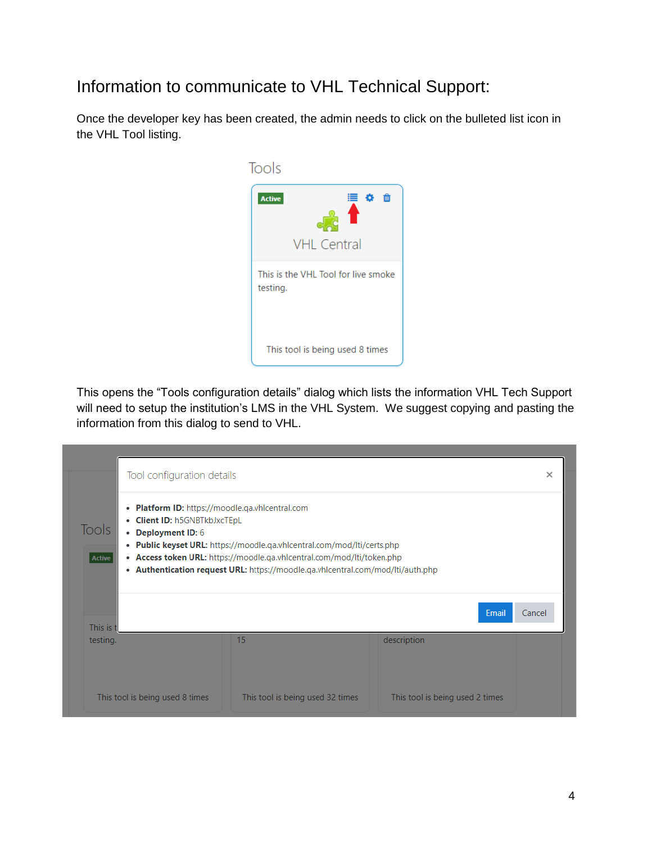### Information to communicate to VHL Technical Support:

Once the developer key has been created, the admin needs to click on the bulleted list icon in the VHL Tool listing.



This opens the "Tools configuration details" dialog which lists the information VHL Tech Support will need to setup the institution's LMS in the VHL System. We suggest copying and pasting the information from this dialog to send to VHL.

|                                       | Tool configuration details                                                                                                                                                                                                                                                                                                                     |                                 | ×               |  |  |  |
|---------------------------------------|------------------------------------------------------------------------------------------------------------------------------------------------------------------------------------------------------------------------------------------------------------------------------------------------------------------------------------------------|---------------------------------|-----------------|--|--|--|
| ٠<br><b>Tools</b><br>٠<br>Active<br>٠ | Platform ID: https://moodle.qa.vhicentral.com<br>• Client ID: h5GNBTkbJxcTEpL<br>• Deployment ID: 6<br><b>Public keyset URL:</b> https://moodle.ga.vhlcentral.com/mod/lti/certs.php<br>• Access token URL: https://moodle.qa.vhicentral.com/mod/lti/token.php<br>Authentication request URL: https://moodle.qa.vhlcentral.com/mod/lti/auth.php |                                 |                 |  |  |  |
| This is t                             |                                                                                                                                                                                                                                                                                                                                                |                                 | Email<br>Cancel |  |  |  |
| testing.                              | 15                                                                                                                                                                                                                                                                                                                                             | description                     |                 |  |  |  |
| This tool is being used 8 times       | This tool is being used 32 times                                                                                                                                                                                                                                                                                                               | This tool is being used 2 times |                 |  |  |  |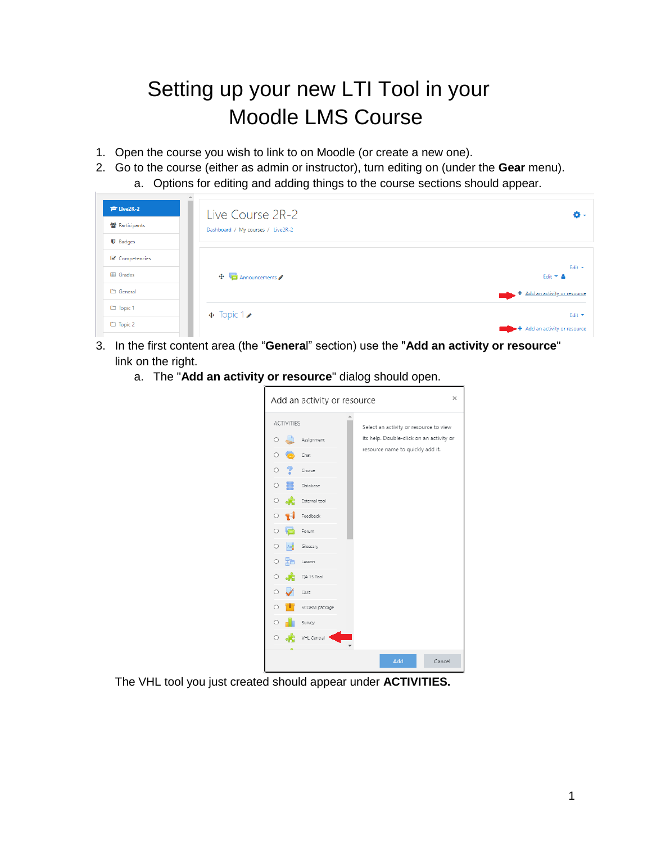# Setting up your new LTI Tool in your Moodle LMS Course

1. Open the course you wish to link to on Moodle (or create a new one).

L.

- 2. Go to the course (either as admin or instructor), turn editing on (under the **Gear** menu).
	- a. Options for editing and adding things to the course sections should appear.

| $F$ Live2R-2     | Live Course 2R-2                  | o.                                             |
|------------------|-----------------------------------|------------------------------------------------|
| ₩ Participants   | Dashboard / My courses / Live2R-2 |                                                |
| <b>U</b> Badges  |                                   |                                                |
| ■ Competencies   |                                   |                                                |
| <b>ED</b> Grades | $\bigoplus$ Announcements         | Edit $\tau$<br>Edit $\overline{\phantom{a}}$ & |
| General          |                                   | + Add an activity or resource                  |
| □ Topic 1        | $\div$ Topic 1                    | Edit *                                         |
| $\Box$ Topic 2   |                                   | + Add an activity or resource                  |

- 3. In the first content area (the "**Genera**l" section) use the "**Add an activity or resource**" link on the right.
	- a. The "**Add an activity or resource**" dialog should open.



The VHL tool you just created should appear under **ACTIVITIES.**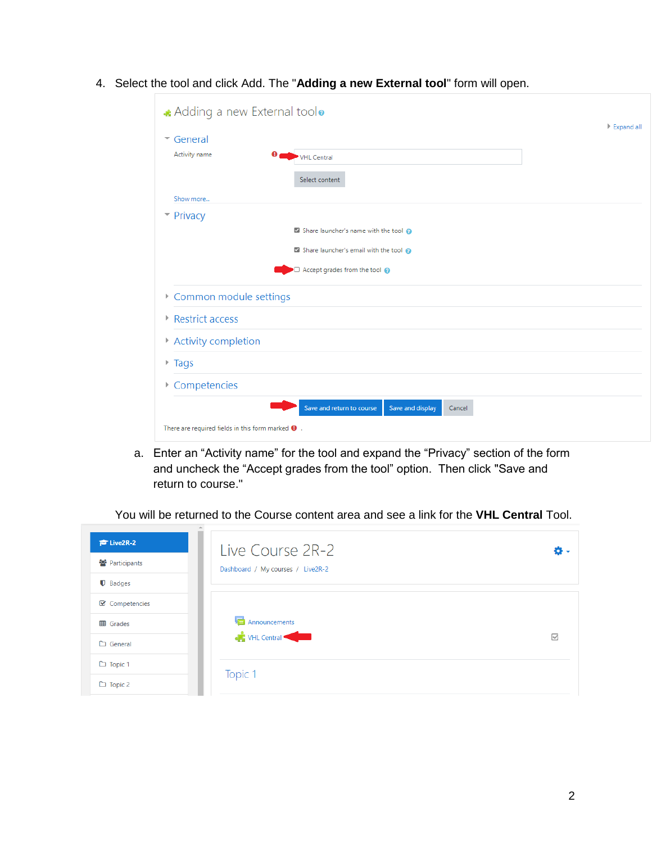| General<br>$\overline{\mathbf{v}}$ |                                            |  |
|------------------------------------|--------------------------------------------|--|
| Activity name                      | VHL Central                                |  |
|                                    | Select content                             |  |
| Show more                          |                                            |  |
| $\blacktriangleright$ Privacy      |                                            |  |
|                                    | Share launcher's name with the tool        |  |
|                                    | Share launcher's email with the tool       |  |
|                                    | $\Box$ Accept grades from the tool $\odot$ |  |
| Common module settings             |                                            |  |
| ▶ Restrict access                  |                                            |  |
| Activity completion                |                                            |  |
| $\triangleright$ Tags              |                                            |  |
| Competencies                       |                                            |  |
|                                    |                                            |  |

4. Select the tool and click Add. The "**Adding a new External tool**" form will open.

a. Enter an "Activity name" for the tool and expand the "Privacy" section of the form and uncheck the "Accept grades from the tool" option. Then click "Save and return to course."

You will be returned to the Course content area and see a link for the **VHL Central** Tool.

| $\approx$ Live2R-2<br><sup>2</sup> Participants                   | Live Course 2R-2<br>Dashboard / My courses / Live2R-2 | o.              |
|-------------------------------------------------------------------|-------------------------------------------------------|-----------------|
| $\blacksquare$ Badges<br><b>■</b> Competencies<br><b>田 Grades</b> | Announcements                                         |                 |
| $\Box$ General                                                    | <b>C</b> VHL Central                                  | $\triangledown$ |
| $\Box$ Topic 1<br>$\Box$ Topic 2                                  | Topic 1                                               |                 |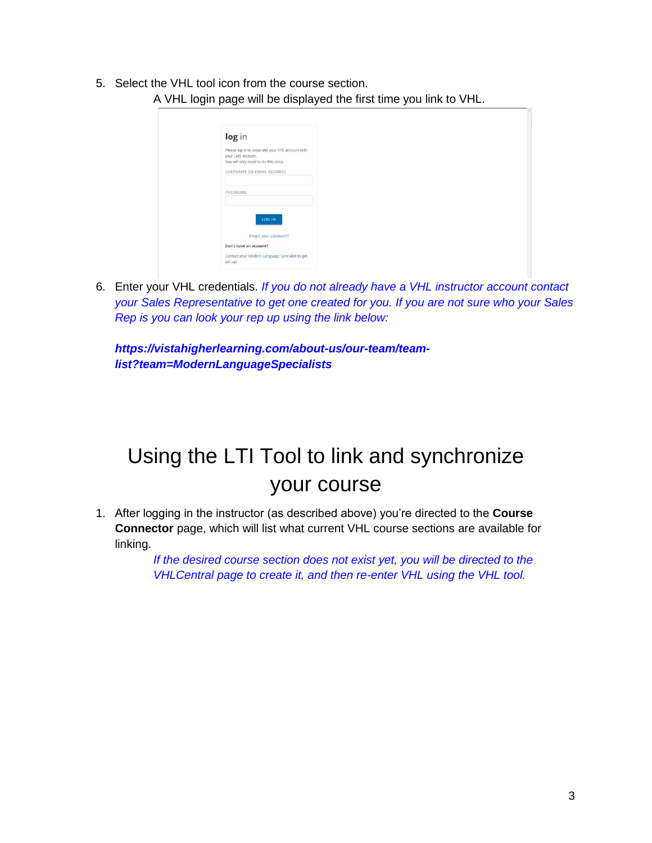5. Select the VHL tool icon from the course section. A VHL login page will be displayed the first time you link to VHL.

| log in                                                                |  |
|-----------------------------------------------------------------------|--|
| Please log in to associate your VHL account with<br>your LMS account. |  |
| You will only need to do this once.                                   |  |
| USERNAME OR EMAIL ADDRESS                                             |  |
| PASSWORD                                                              |  |
| LOG IN                                                                |  |
| Forgot your password?                                                 |  |
| Don't have an account?                                                |  |

6. Enter your VHL credentials. *If you do not already have a VHL instructor account contact your Sales Representative to get one created for you. If you are not sure who your Sales Rep is you can look your rep up using the link below:*

*https://vistahigherlearning.com/about-us/our-team/teamlist?team=ModernLanguageSpecialists*

# Using the LTI Tool to link and synchronize your course

1. After logging in the instructor (as described above) you're directed to the **Course Connector** page, which will list what current VHL course sections are available for linking.

> *If the desired course section does not exist yet, you will be directed to the VHLCentral page to create it, and then re-enter VHL using the VHL tool.*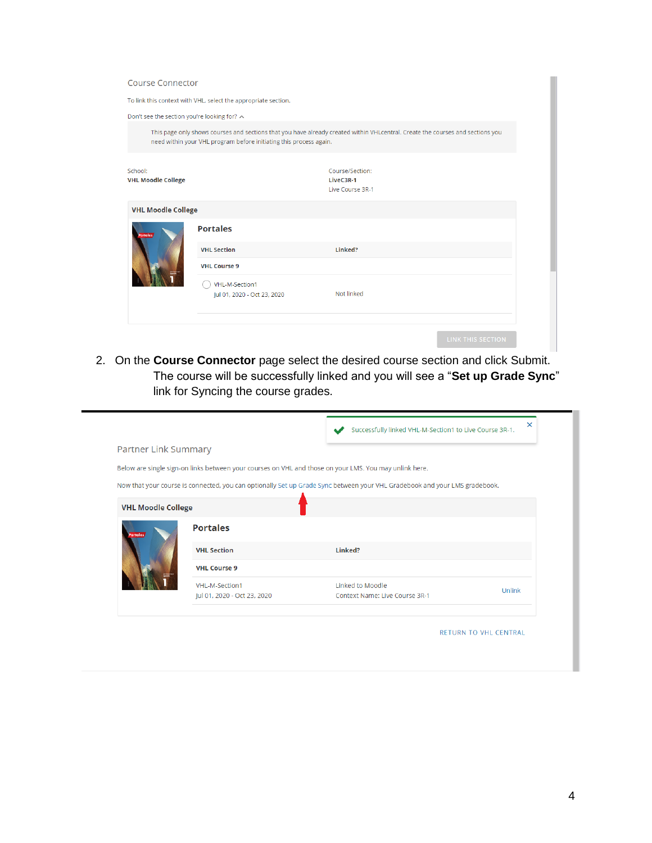| <b>Course Connector</b>                                                                                                                                                                              |                                                                |                                                  |  |
|------------------------------------------------------------------------------------------------------------------------------------------------------------------------------------------------------|----------------------------------------------------------------|--------------------------------------------------|--|
|                                                                                                                                                                                                      | To link this context with VHL, select the appropriate section. |                                                  |  |
| Don't see the section you're looking for? ^                                                                                                                                                          |                                                                |                                                  |  |
| This page only shows courses and sections that you have already created within VHLcentral. Create the courses and sections you<br>need within your VHL program before initiating this process again. |                                                                |                                                  |  |
| School:<br><b>VHL Moodle College</b>                                                                                                                                                                 |                                                                | Course/Section:<br>LiveC3R-1<br>Live Course 3R-1 |  |
| <b>VHL Moodle College</b>                                                                                                                                                                            |                                                                |                                                  |  |
| ortales                                                                                                                                                                                              | <b>Portales</b>                                                |                                                  |  |
|                                                                                                                                                                                                      | <b>VHL Section</b>                                             | Linked?                                          |  |
|                                                                                                                                                                                                      | <b>VHL Course 9</b>                                            |                                                  |  |
|                                                                                                                                                                                                      | VHL-M-Section1<br>Jul 01, 2020 - Oct 23, 2020                  | Not linked                                       |  |
|                                                                                                                                                                                                      |                                                                | <b>LINIV THIC CECTION</b>                        |  |

2. On the **Course Connector** page select the desired course section and click Submit. The course will be successfully linked and you will see a "**Set up Grade Sync**" link for Syncing the course grades.

|                           |                                                                                                        | Successfully linked VHL-M-Section1 to Live Course 3R-1.                                                                    | $\times$                     |
|---------------------------|--------------------------------------------------------------------------------------------------------|----------------------------------------------------------------------------------------------------------------------------|------------------------------|
| Partner Link Summary      |                                                                                                        |                                                                                                                            |                              |
|                           | Below are single sign-on links between your courses on VHL and those on your LMS. You may unlink here. |                                                                                                                            |                              |
|                           |                                                                                                        | Now that your course is connected, you can optionally Set up Grade Sync between your VHL Gradebook and your LMS gradebook. |                              |
| <b>VHL Moodle College</b> |                                                                                                        |                                                                                                                            |                              |
| <b>ortales</b>            | <b>Portales</b>                                                                                        |                                                                                                                            |                              |
|                           | <b>VHL Section</b>                                                                                     | Linked?                                                                                                                    |                              |
|                           | <b>VHL Course 9</b>                                                                                    |                                                                                                                            |                              |
|                           | VHL-M-Section1<br>Jul 01, 2020 - Oct 23, 2020                                                          | Linked to Moodle<br>Context Name: Live Course 3R-1                                                                         | Unlink                       |
|                           |                                                                                                        |                                                                                                                            | <b>RETURN TO VHL CENTRAL</b> |
|                           |                                                                                                        |                                                                                                                            |                              |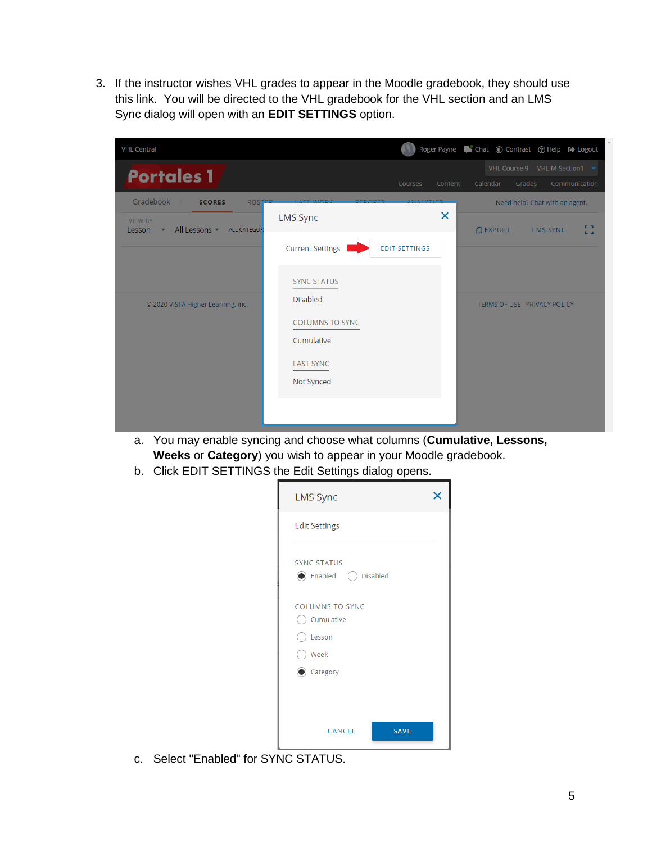3. If the instructor wishes VHL grades to appear in the Moodle gradebook, they should use this link. You will be directed to the VHL gradebook for the VHL section and an LMS Sync dialog will open with an **EDIT SETTINGS** option.

| <b>VHL Central</b>                                                                                   |                                                                                           |                      |                | Roger Payne Chat C Contrast C Help C Logout                                          |
|------------------------------------------------------------------------------------------------------|-------------------------------------------------------------------------------------------|----------------------|----------------|--------------------------------------------------------------------------------------|
| <b>Portales 1</b>                                                                                    |                                                                                           | Courses<br>Content   | Calendar       | VHL Course 9 VHL-M-Section1 ↓<br>Grades<br>Communication                             |
| Gradebook<br><b>SCORES</b><br><b>ROS</b><br><b>VIEW BY</b><br>All Lessons ALL CATEGOR<br>Lesson<br>۳ | <b>LMS Sync</b>                                                                           | ×                    | <b>GEXPORT</b> | Need help? Chat with an agent.<br><b>P. T.</b><br><b>LMS SYNC</b><br>$\mathbf{L}$ of |
|                                                                                                      | <b>Current Settings</b>                                                                   | <b>EDIT SETTINGS</b> |                |                                                                                      |
|                                                                                                      | <b>SYNC STATUS</b>                                                                        |                      |                |                                                                                      |
| © 2020 VISTA Higher Learning, Inc.                                                                   | <b>Disabled</b><br><b>COLUMNS TO SYNC</b><br>Cumulative<br><b>LAST SYNC</b><br>Not Synced |                      |                | TERMS OF USE PRIVACY POLICY                                                          |
|                                                                                                      |                                                                                           |                      |                |                                                                                      |

- a. You may enable syncing and choose what columns (**Cumulative, Lessons, Weeks** or **Category**) you wish to appear in your Moodle gradebook.
- b. Click EDIT SETTINGS the Edit Settings dialog opens.

| <b>LMS Sync</b>                                  |  |
|--------------------------------------------------|--|
| <b>Edit Settings</b>                             |  |
| <b>SYNC STATUS</b><br>(C) Enabled (C) Disabled   |  |
| <b>COLUMNS TO SYNC</b><br>Cumulative<br>) Lesson |  |
| ◯ Week<br>Category                               |  |
|                                                  |  |
| <b>SAVE</b><br>CANCEL                            |  |

c. Select "Enabled" for SYNC STATUS.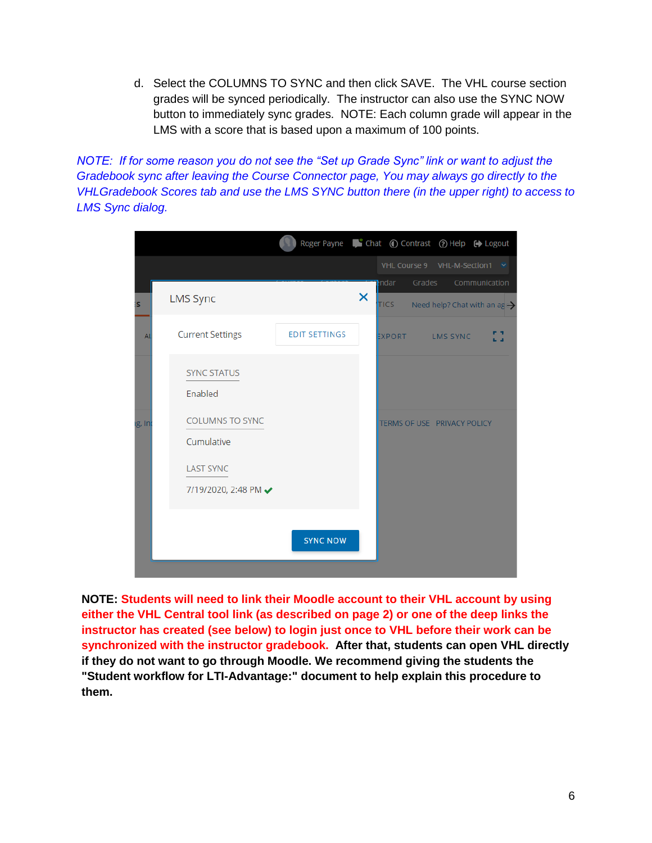d. Select the COLUMNS TO SYNC and then click SAVE. The VHL course section grades will be synced periodically. The instructor can also use the SYNC NOW button to immediately sync grades. NOTE: Each column grade will appear in the LMS with a score that is based upon a maximum of 100 points.

*NOTE: If for some reason you do not see the "Set up Grade Sync" link or want to adjust the Gradebook sync after leaving the Course Connector page, You may always go directly to the VHLGradebook Scores tab and use the LMS SYNC button there (in the upper right) to access to LMS Sync dialog.*

|           |                                                          | Roger Payne Chat © Contrast © Help C Logout |   |                                          |        |          |               |                                          |
|-----------|----------------------------------------------------------|---------------------------------------------|---|------------------------------------------|--------|----------|---------------|------------------------------------------|
|           |                                                          |                                             |   | VHL Course 9 VHL-M-Section1 <del>∨</del> |        |          |               |                                          |
| <b>is</b> | <b>LMS Sync</b>                                          |                                             | × | ndar<br><b>TICS</b>                      | Grades |          | Communication | Need help? Chat with an $ag \rightarrow$ |
| Al        | <b>Current Settings</b>                                  | <b>EDIT SETTINGS</b>                        |   | <b>EXPORT</b>                            |        | LMS SYNC |               | ь а                                      |
|           | <b>SYNC STATUS</b><br>Enabled                            |                                             |   |                                          |        |          |               |                                          |
| ig, In    | <b>COLUMNS TO SYNC</b><br>Cumulative<br><b>LAST SYNC</b> |                                             |   | TERMS OF USE PRIVACY POLICY              |        |          |               |                                          |
|           | 7/19/2020, 2:48 PM →                                     |                                             |   |                                          |        |          |               |                                          |
|           |                                                          | <b>SYNC NOW</b>                             |   |                                          |        |          |               |                                          |
|           |                                                          |                                             |   |                                          |        |          |               |                                          |

**NOTE: Students will need to link their Moodle account to their VHL account by using either the VHL Central tool link (as described on page 2) or one of the deep links the instructor has created (see below) to login just once to VHL before their work can be synchronized with the instructor gradebook. After that, students can open VHL directly if they do not want to go through Moodle. We recommend giving the students the "Student workflow for LTI-Advantage:" document to help explain this procedure to them.**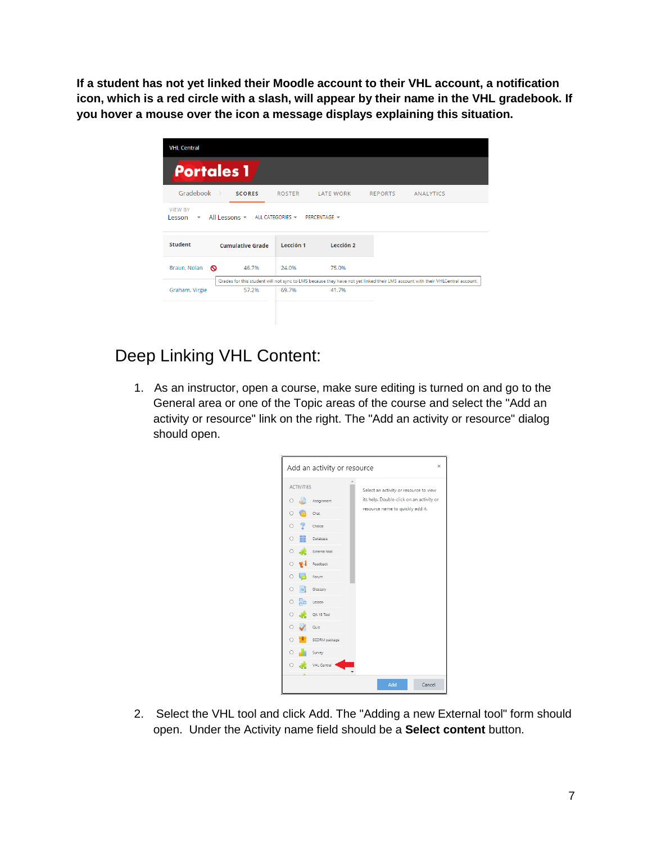**If a student has not yet linked their Moodle account to their VHL account, a notification icon, which is a red circle with a slash, will appear by their name in the VHL gradebook. If you hover a mouse over the icon a message displays explaining this situation.**

| <b>VHL Central</b>                                  |                                             |               |                  |                |                                                                                                                                |
|-----------------------------------------------------|---------------------------------------------|---------------|------------------|----------------|--------------------------------------------------------------------------------------------------------------------------------|
| <b>Portales 1</b>                                   |                                             |               |                  |                |                                                                                                                                |
| Gradebook                                           | $\rightarrow$<br><b>SCORES</b>              | <b>ROSTER</b> | <b>LATE WORK</b> | <b>REPORTS</b> | <b>ANALYTICS</b>                                                                                                               |
| <b>VIEW BY</b><br>Lesson<br>$\overline{\mathbf{v}}$ | All Lessons v ALL CATEGORIES v PERCENTAGE v |               |                  |                |                                                                                                                                |
| <b>Student</b>                                      | <b>Cumulative Grade</b>                     | Lección 1     | Lección 2        |                |                                                                                                                                |
| Braun, Nolan<br>ര                                   | 46.7%                                       | 24.0%         | 75.0%            |                |                                                                                                                                |
|                                                     |                                             |               |                  |                | Grades for this student will not sync to LMS because they have not yet linked their LMS account with their VHLCentral account. |
| Graham, Virgie                                      | 57.2%                                       | 69.7%         | 41.7%            |                |                                                                                                                                |
|                                                     |                                             |               |                  |                |                                                                                                                                |

### Deep Linking VHL Content:

1. As an instructor, open a course, make sure editing is turned on and go to the General area or one of the Topic areas of the course and select the "Add an activity or resource" link on the right. The "Add an activity or resource" dialog should open.



2. Select the VHL tool and click Add. The "Adding a new External tool" form should open. Under the Activity name field should be a **Select content** button.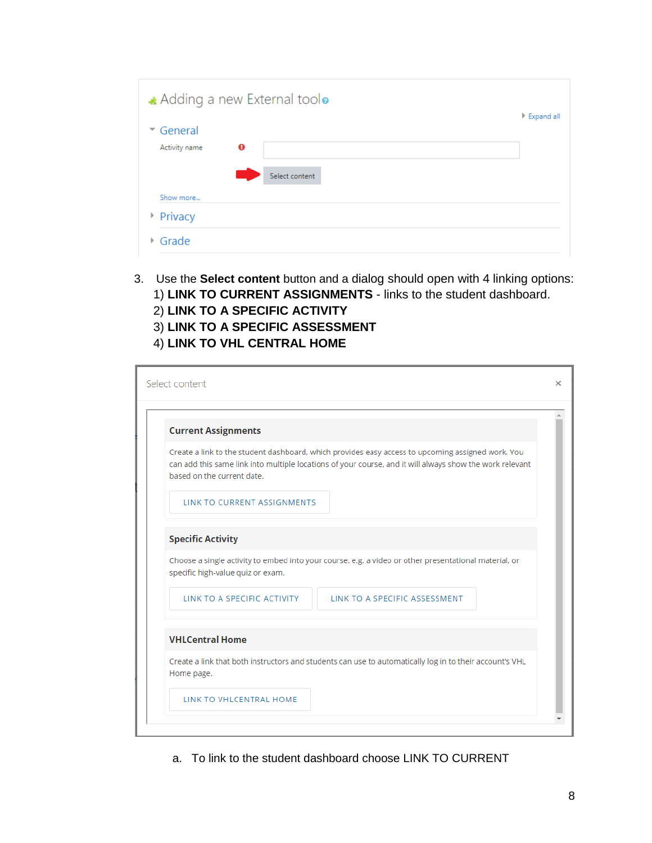| Adding a new External toolo | Expand all |
|-----------------------------|------------|
| General                     |            |
| $\bf{o}$<br>Activity name   |            |
| Select content              |            |
| Show more                   |            |
| Privacy                     |            |
| Grade                       |            |

3. Use the **Select content** button and a dialog should open with 4 linking options: 1) **LINK TO CURRENT ASSIGNMENTS** - links to the student dashboard. 2) **LINK TO A SPECIFIC ACTIVITY** 3) **LINK TO A SPECIFIC ASSESSMENT**

#### 4) **LINK TO VHL CENTRAL HOME**

| Select content                    |                                                                                                                                                                                                               |
|-----------------------------------|---------------------------------------------------------------------------------------------------------------------------------------------------------------------------------------------------------------|
| <b>Current Assignments</b>        |                                                                                                                                                                                                               |
| based on the current date.        | Create a link to the student dashboard, which provides easy access to upcoming assigned work. You<br>can add this same link into multiple locations of your course, and it will always show the work relevant |
| LINK TO CURRENT ASSIGNMENTS       |                                                                                                                                                                                                               |
| <b>Specific Activity</b>          |                                                                                                                                                                                                               |
| specific high-value quiz or exam. | Choose a single activity to embed into your course. e.g. a video or other presentational material, or                                                                                                         |
| LINK TO A SPECIFIC ACTIVITY       | LINK TO A SPECIFIC ASSESSMENT                                                                                                                                                                                 |
| <b>VHLCentral Home</b>            |                                                                                                                                                                                                               |
| Home page.                        | Create a link that both instructors and students can use to automatically log in to their account's VHL                                                                                                       |
| LINK TO VHLCENTRAL HOME           |                                                                                                                                                                                                               |

a. To link to the student dashboard choose LINK TO CURRENT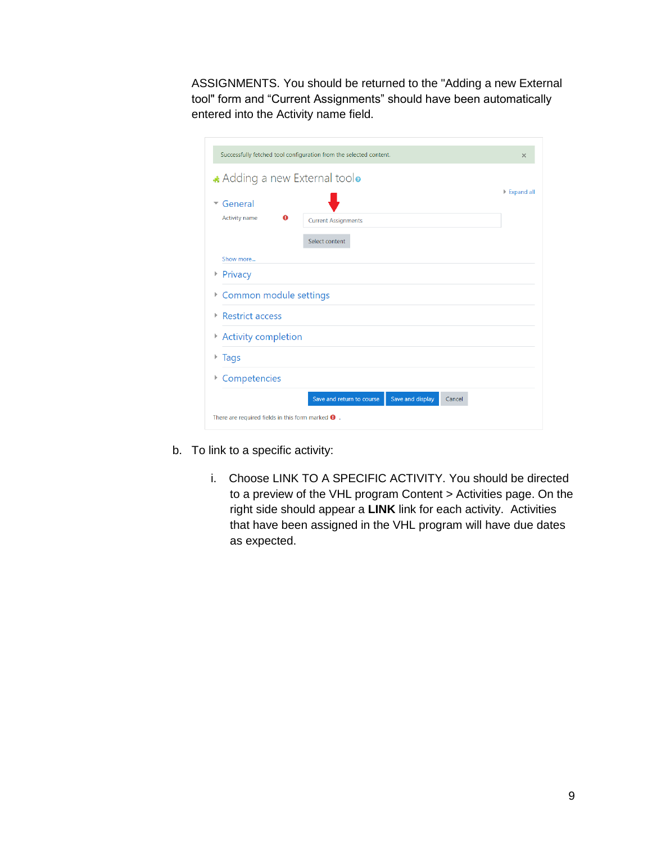ASSIGNMENTS. You should be returned to the "Adding a new External tool" form and "Current Assignments" should have been automatically entered into the Activity name field.

|                                                           | Successfully fetched tool configuration from the selected content. | $\times$                    |
|-----------------------------------------------------------|--------------------------------------------------------------------|-----------------------------|
| Adding a new External toolo                               |                                                                    |                             |
| General                                                   |                                                                    | $\triangleright$ Expand all |
| $\Omega$<br>Activity name                                 | <b>Current Assignments</b>                                         |                             |
|                                                           | Select content                                                     |                             |
| Show more                                                 |                                                                    |                             |
| Privacy<br>Þ                                              |                                                                    |                             |
| Common module settings<br>Þ                               |                                                                    |                             |
| <b>Restrict access</b><br>Þ                               |                                                                    |                             |
| <b>Activity completion</b><br>Þ                           |                                                                    |                             |
| Tags                                                      |                                                                    |                             |
| Competencies<br>Þ                                         |                                                                    |                             |
|                                                           | Save and display<br>Save and return to course<br>Cancel            |                             |
| There are required fields in this form marked $\bullet$ . |                                                                    |                             |

- b. To link to a specific activity:
	- i. Choose LINK TO A SPECIFIC ACTIVITY. You should be directed to a preview of the VHL program Content > Activities page. On the right side should appear a **LINK** link for each activity. Activities that have been assigned in the VHL program will have due dates as expected.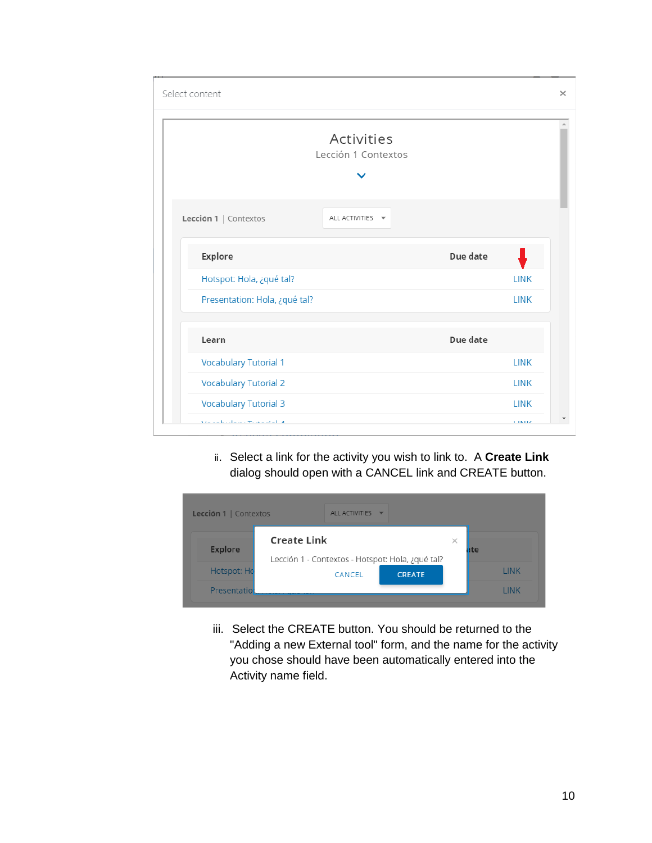| Select content                          |                                   |          | $\times$    |  |
|-----------------------------------------|-----------------------------------|----------|-------------|--|
|                                         | Activities<br>Lección 1 Contextos |          |             |  |
| Lección 1   Contextos                   | ALL ACTIVITIES $\forall$          |          |             |  |
| <b>Explore</b>                          |                                   | Due date |             |  |
| Hotspot: Hola, ¿qué tal?                |                                   |          | <b>LINK</b> |  |
| Presentation: Hola, ¿qué tal?           |                                   |          | <b>LINK</b> |  |
| Learn                                   |                                   | Due date |             |  |
| <b>Vocabulary Tutorial 1</b>            |                                   |          | <b>LINK</b> |  |
| <b>Vocabulary Tutorial 2</b>            |                                   |          | <b>LINK</b> |  |
| <b>Vocabulary Tutorial 3</b>            |                                   |          | <b>LINK</b> |  |
| Marchael and a more than a start of the |                                   |          | 1.18.112    |  |

 ii. Select a link for the activity you wish to link to. A **Create Link** dialog should open with a CANCEL link and CREATE button.

| Lección 1   Contextos             | ALL ACTIVITIES                                                         |   |               |
|-----------------------------------|------------------------------------------------------------------------|---|---------------|
| <b>Explore</b>                    | <b>Create Link</b><br>Lección 1 - Contextos - Hotspot: Hola, ¿qué tal? | × | iite          |
| Hotspot: Ho<br><b>Presentatio</b> | CANCEL<br><b>CREATE</b>                                                |   | LINK<br>I INK |

iii. Select the CREATE button. You should be returned to the "Adding a new External tool" form, and the name for the activity you chose should have been automatically entered into the Activity name field.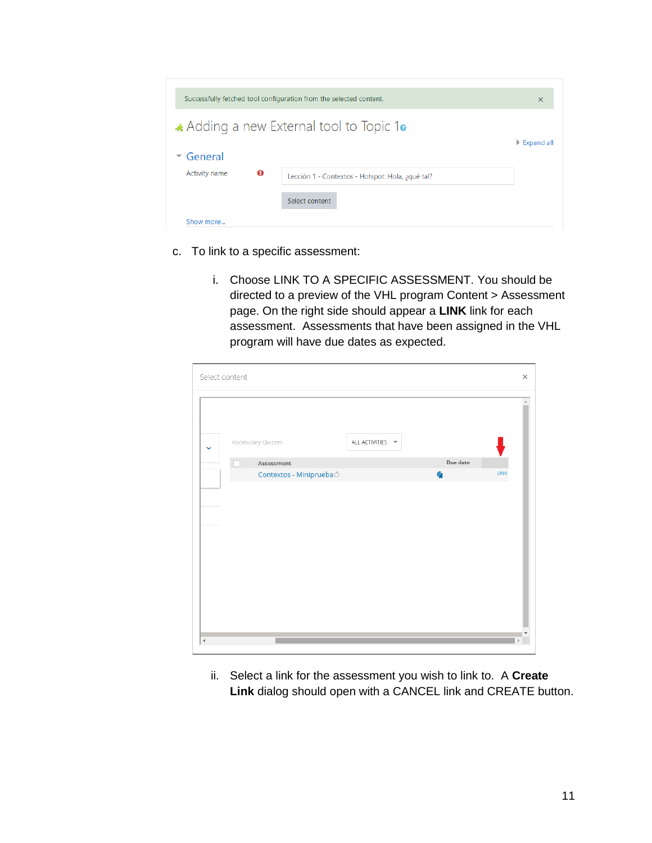|                           | Successfully fetched tool configuration from the selected content. | $\times$                    |
|---------------------------|--------------------------------------------------------------------|-----------------------------|
|                           | Adding a new External tool to Topic 10                             |                             |
| General                   |                                                                    | $\triangleright$ Expand all |
| $\bf{0}$<br>Activity name | Lección 1 - Contextos - Hotspot: Hola, ¿qué tal?                   |                             |
|                           | Select content                                                     |                             |
| Show more                 |                                                                    |                             |

- c. To link to a specific assessment:
	- i. Choose LINK TO A SPECIFIC ASSESSMENT. You should be directed to a preview of the VHL program Content > Assessment page. On the right side should appear a **LINK** link for each assessment. Assessments that have been assigned in the VHL program will have due dates as expected.

| Select content       |                         |                  |          | $\times$    |
|----------------------|-------------------------|------------------|----------|-------------|
|                      |                         |                  |          |             |
| $\checkmark$         | Vocabulary Quizzes      | ALL ACTIVITIES \ |          |             |
|                      | Assessment              |                  | Due date |             |
|                      | Contextos - MinipruebaÓ |                  | 権        | <b>LINK</b> |
|                      |                         |                  |          |             |
|                      |                         |                  |          |             |
|                      |                         |                  |          |             |
|                      |                         |                  |          |             |
| $\blacktriangleleft$ |                         |                  |          |             |

ii. Select a link for the assessment you wish to link to. A **Create Link** dialog should open with a CANCEL link and CREATE button.